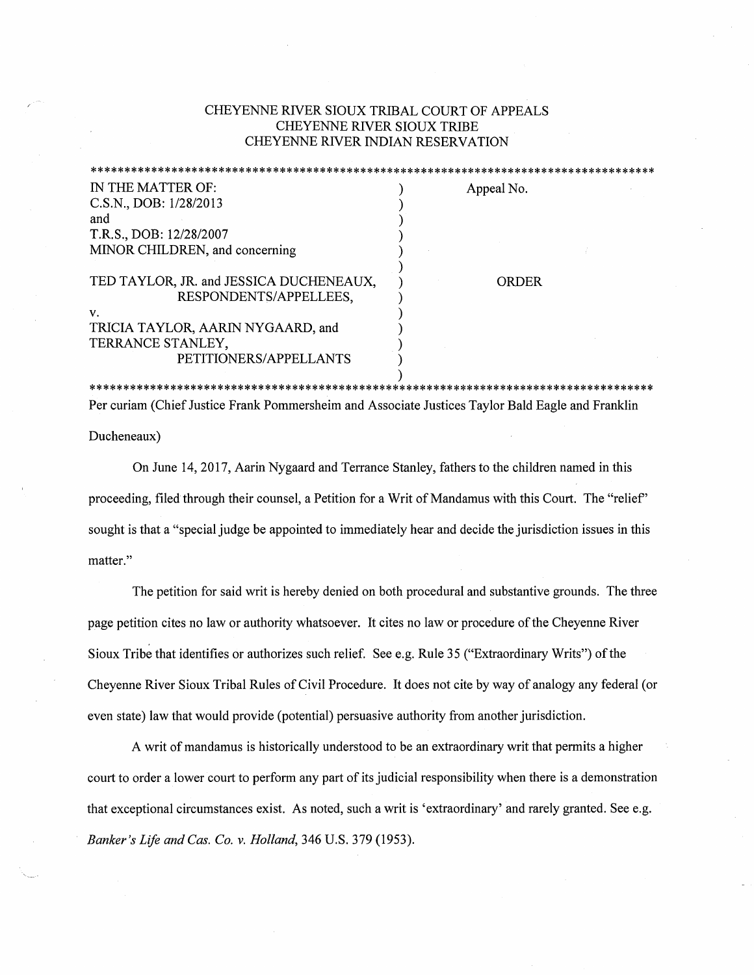## CHEYENNE RIVER SIOUX TRIBAL COURT OF APPEALS CHEYENNE RIVER SIOUX TRIBE CHEYENNE RIVER INDIAN RESERVATION

| IN THE MATTER OF:                                                 | Appeal No. |
|-------------------------------------------------------------------|------------|
| C.S.N., DOB: 1/28/2013                                            |            |
| and                                                               |            |
| T.R.S., DOB: 12/28/2007                                           |            |
| MINOR CHILDREN, and concerning                                    |            |
| TED TAYLOR, JR. and JESSICA DUCHENEAUX,<br>RESPONDENTS/APPELLEES, | ORDER      |
| $\mathbf{v}$ .                                                    |            |
| TRICIA TAYLOR, AARIN NYGAARD, and                                 |            |
| TERRANCE STANLEY,                                                 |            |
| PETITIONERS/APPELLANTS                                            |            |
|                                                                   |            |
|                                                                   |            |

Per curiam (Chief Justice Frank Pommersheim and Associate Justices Taylor Bald Eagle and Franklin

Ducheneaux)

On June 14, 2017, Aarin Nygaard and Terrance Stanley, fathers to the children named in this proceeding, filed through their counsel, a Petition for a Writ of Mandamus with this Court. The "relief' sought is that a "special judge be appointed to immediately hear and decide the jurisdiction issues in this matter."

The petition for said writ is hereby denied on both procedural and substantive grounds. The three page petition cites no law or authority whatsoever. It cites no law or procedure of the Cheyenne River Sioux Tribe that identifies or authorizes such relief. See e.g. Rule 35 ("Extraordinary Writs") of the Cheyenne River Sioux Tribal Rules of Civil Procedure. It does not cite by way of analogy any federal ( or even state) law that would provide (potential) persuasive authority from another jurisdiction.

A writ of mandamus is historically understood to be an extraordinary writ that permits a higher court to order a lower court to perform any part of its judicial responsibility when there is a demonstration that exceptional circumstances exist. As noted, such a writ is 'extraordinary' and rarely granted. See e.g. *Banker's Life and Cas. Co. v. Holland,* 346 U.S. 379 (1953).